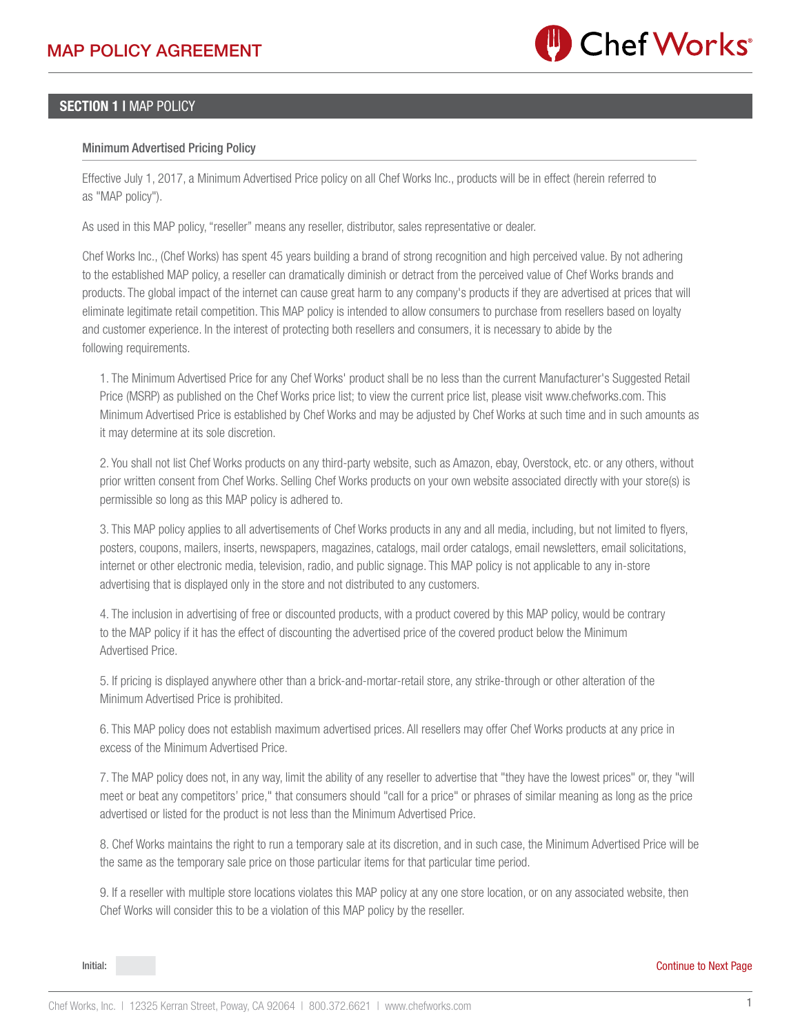

## SECTION 1 I MAP POLICY

## Minimum Advertised Pricing Policy

Effective July 1, 2017, a Minimum Advertised Price policy on all Chef Works Inc., products will be in effect (herein referred to as "MAP policy").

As used in this MAP policy, "reseller" means any reseller, distributor, sales representative or dealer.

Chef Works Inc., (Chef Works) has spent 45 years building a brand of strong recognition and high perceived value. By not adhering to the established MAP policy, a reseller can dramatically diminish or detract from the perceived value of Chef Works brands and products. The global impact of the internet can cause great harm to any company's products if they are advertised at prices that will eliminate legitimate retail competition. This MAP policy is intended to allow consumers to purchase from resellers based on loyalty and customer experience. In the interest of protecting both resellers and consumers, it is necessary to abide by the following requirements.

1. The Minimum Advertised Price for any Chef Works' product shall be no less than the current Manufacturer's Suggested Retail Price (MSRP) as published on the Chef Works price list; to view the current price list, please visit www.chefworks.com. This Minimum Advertised Price is established by Chef Works and may be adjusted by Chef Works at such time and in such amounts as it may determine at its sole discretion.

2. You shall not list Chef Works products on any third-party website, such as Amazon, ebay, Overstock, etc. or any others, without prior written consent from Chef Works. Selling Chef Works products on your own website associated directly with your store(s) is permissible so long as this MAP policy is adhered to.

3. This MAP policy applies to all advertisements of Chef Works products in any and all media, including, but not limited to flyers, posters, coupons, mailers, inserts, newspapers, magazines, catalogs, mail order catalogs, email newsletters, email solicitations, internet or other electronic media, television, radio, and public signage. This MAP policy is not applicable to any in-store advertising that is displayed only in the store and not distributed to any customers.

4. The inclusion in advertising of free or discounted products, with a product covered by this MAP policy, would be contrary to the MAP policy if it has the effect of discounting the advertised price of the covered product below the Minimum Advertised Price.

5. If pricing is displayed anywhere other than a brick-and-mortar-retail store, any strike-through or other alteration of the Minimum Advertised Price is prohibited.

6. This MAP policy does not establish maximum advertised prices. All resellers may offer Chef Works products at any price in excess of the Minimum Advertised Price.

7. The MAP policy does not, in any way, limit the ability of any reseller to advertise that "they have the lowest prices" or, they "will meet or beat any competitors' price," that consumers should "call for a price" or phrases of similar meaning as long as the price advertised or listed for the product is not less than the Minimum Advertised Price.

8. Chef Works maintains the right to run a temporary sale at its discretion, and in such case, the Minimum Advertised Price will be the same as the temporary sale price on those particular items for that particular time period.

9. If a reseller with multiple store locations violates this MAP policy at any one store location, or on any associated website, then Chef Works will consider this to be a violation of this MAP policy by the reseller.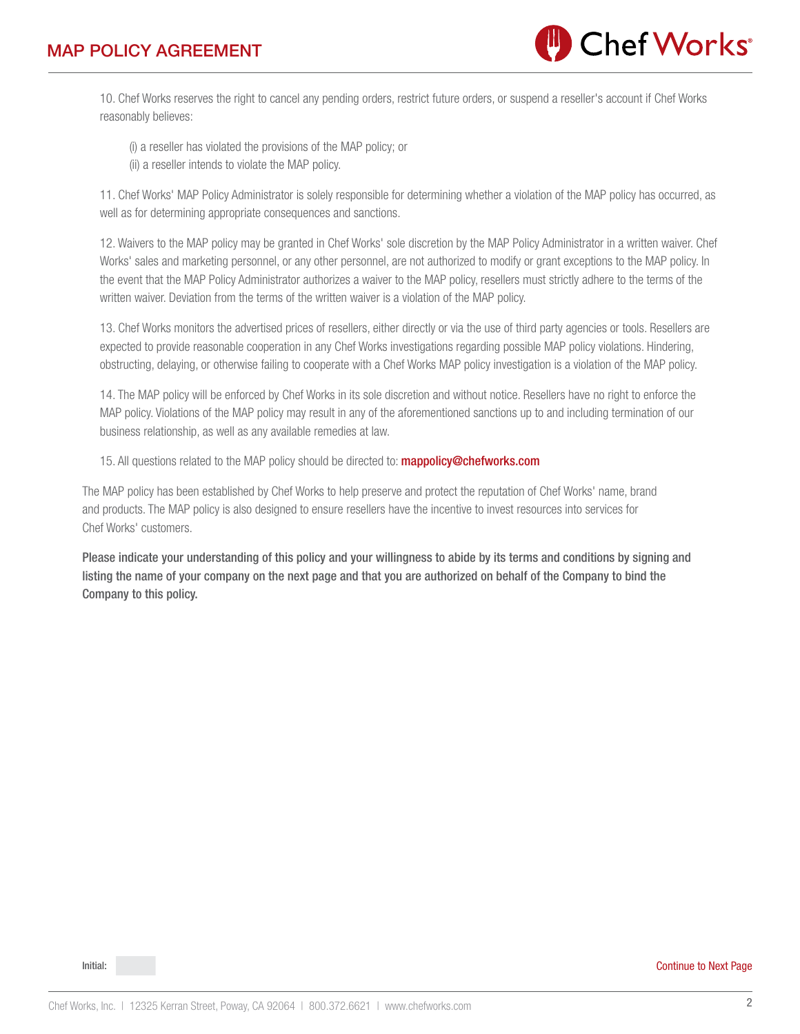

10. Chef Works reserves the right to cancel any pending orders, restrict future orders, or suspend a reseller's account if Chef Works reasonably believes:

(i) a reseller has violated the provisions of the MAP policy; or

(ii) a reseller intends to violate the MAP policy.

11. Chef Works' MAP Policy Administrator is solely responsible for determining whether a violation of the MAP policy has occurred, as well as for determining appropriate consequences and sanctions.

12. Waivers to the MAP policy may be granted in Chef Works' sole discretion by the MAP Policy Administrator in a written waiver. Chef Works' sales and marketing personnel, or any other personnel, are not authorized to modify or grant exceptions to the MAP policy. In the event that the MAP Policy Administrator authorizes a waiver to the MAP policy, resellers must strictly adhere to the terms of the written waiver. Deviation from the terms of the written waiver is a violation of the MAP policy.

13. Chef Works monitors the advertised prices of resellers, either directly or via the use of third party agencies or tools. Resellers are expected to provide reasonable cooperation in any Chef Works investigations regarding possible MAP policy violations. Hindering, obstructing, delaying, or otherwise failing to cooperate with a Chef Works MAP policy investigation is a violation of the MAP policy.

14. The MAP policy will be enforced by Chef Works in its sole discretion and without notice. Resellers have no right to enforce the MAP policy. Violations of the MAP policy may result in any of the aforementioned sanctions up to and including termination of our business relationship, as well as any available remedies at law.

15. All questions related to the MAP policy should be directed to: **mappolicy@chefworks.com** 

The MAP policy has been established by Chef Works to help preserve and protect the reputation of Chef Works' name, brand and products. The MAP policy is also designed to ensure resellers have the incentive to invest resources into services for Chef Works' customers.

Please indicate your understanding of this policy and your willingness to abide by its terms and conditions by signing and listing the name of your company on the next page and that you are authorized on behalf of the Company to bind the Company to this policy.

Initial: Continue to Next Page